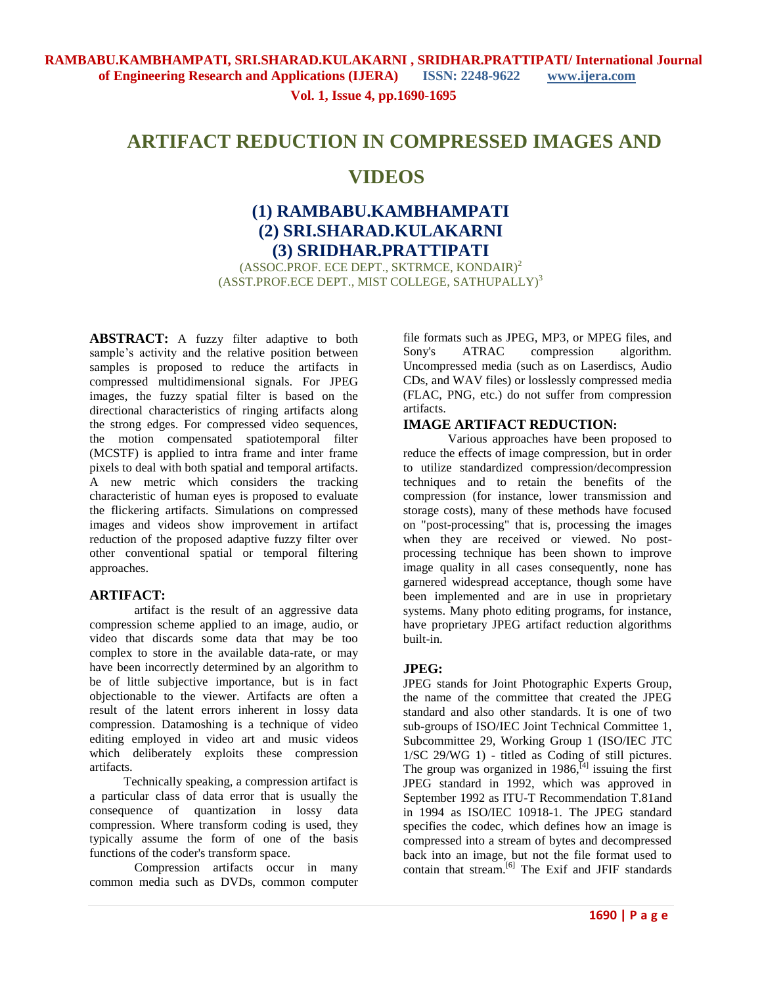**Vol. 1, Issue 4, pp.1690-1695**

# **ARTIFACT REDUCTION IN COMPRESSED IMAGES AND**

# **VIDEOS**

# **(1) RAMBABU.KAMBHAMPATI (2) SRI.SHARAD.KULAKARNI (3) SRIDHAR.PRATTIPATI**

(ASSOC.PROF. ECE DEPT., SKTRMCE, KONDAIR)<sup>2</sup> (ASST.PROF.ECE DEPT., MIST COLLEGE, SATHUPALLY)<sup>3</sup>

**ABSTRACT:** A fuzzy filter adaptive to both sample's activity and the relative position between samples is proposed to reduce the artifacts in compressed multidimensional signals. For JPEG images, the fuzzy spatial filter is based on the directional characteristics of ringing artifacts along the strong edges. For compressed video sequences, the motion compensated spatiotemporal filter (MCSTF) is applied to intra frame and inter frame pixels to deal with both spatial and temporal artifacts. A new metric which considers the tracking characteristic of human eyes is proposed to evaluate the flickering artifacts. Simulations on compressed images and videos show improvement in artifact reduction of the proposed adaptive fuzzy filter over other conventional spatial or temporal filtering approaches.

### **ARTIFACT:**

artifact is the result of an aggressive [data](http://en.wikipedia.org/wiki/Data_compression)  [compression](http://en.wikipedia.org/wiki/Data_compression) scheme applied to an [image,](http://en.wikipedia.org/wiki/Image) [audio,](http://en.wikipedia.org/wiki/Sound_recording) or [video](http://en.wikipedia.org/wiki/Video) that discards some data that may be too complex to store in the available data-rate, or may have been incorrectly determined by an [algorithm](http://en.wikipedia.org/wiki/Algorithm) to be of little subjective importance, but is in fact objectionable to the viewer. Artifacts are often a result of the [latent](http://en.wiktionary.org/wiki/latent) errors inherent in [lossy data](http://en.wikipedia.org/wiki/Lossy_data_compression)  [compression.](http://en.wikipedia.org/wiki/Lossy_data_compression) Datamoshing is a technique of [video](http://en.wikipedia.org/wiki/Video_editing)  [editing](http://en.wikipedia.org/wiki/Video_editing) employed in [video art](http://en.wikipedia.org/wiki/Video_art) and [music videos](http://en.wikipedia.org/wiki/Music_video) which deliberately exploits these compression artifacts.

 Technically speaking, a compression artifact is a particular class of data error that is usually the consequence of [quantization](http://en.wikipedia.org/wiki/Quantization_(signal_processing)) in lossy data compression. Where [transform coding](http://en.wikipedia.org/wiki/Transform_coding) is used, they typically assume the form of one of the [basis](http://en.wikipedia.org/wiki/Basis_function)  [functions](http://en.wikipedia.org/wiki/Basis_function) of the coder's transform space.

Compression artifacts occur in many common media such as [DVDs,](http://en.wikipedia.org/wiki/DVD) common computer file formats such as [JPEG,](http://en.wikipedia.org/wiki/JPEG) [MP3,](http://en.wikipedia.org/wiki/MP3) or [MPEG](http://en.wikipedia.org/wiki/MPEG) files, and [Sony's](http://en.wikipedia.org/wiki/Sony) [ATRAC](http://en.wikipedia.org/wiki/ATRAC) compression algorithm. Uncompressed media (such as on [Laserdiscs,](http://en.wikipedia.org/wiki/Laserdisc) [Audio](http://en.wikipedia.org/wiki/Red_Book_(audio_CD_standard))  [CDs,](http://en.wikipedia.org/wiki/Red_Book_(audio_CD_standard)) and [WAV](http://en.wikipedia.org/wiki/WAV) files) o[r losslessly compressed](http://en.wikipedia.org/wiki/Lossless_data_compression) media [\(FLAC,](http://en.wikipedia.org/wiki/FLAC) [PNG,](http://en.wikipedia.org/wiki/Portable_Network_Graphics) etc.) do not suffer from compression artifacts.

### **IMAGE ARTIFACT REDUCTION:**

Various approaches have been proposed to reduce the effects of image compression, but in order to utilize standardized compression/decompression techniques and to retain the benefits of the compression (for instance, lower transmission and storage costs), many of these methods have focused on "post-processing" that is, processing the images when they are received or viewed. No postprocessing technique has been shown to improve image quality in all cases consequently, none has garnered widespread acceptance, though some have been implemented and are in use in proprietary systems. Many photo editing programs, for instance, have proprietary JPEG artifact reduction algorithms built-in.

### **JPEG:**

JPEG stands for [Joint Photographic Experts Group,](http://en.wikipedia.org/wiki/Joint_Photographic_Experts_Group) the name of the committee that created the JPEG standard and also other standards. It is one of two sub-groups of [ISO](http://en.wikipedia.org/wiki/International_Organization_for_Standardization)[/IEC](http://en.wikipedia.org/wiki/International_Electrotechnical_Commission) Joint Technical Committee 1, Subcommittee 29, Working Group 1 [\(ISO/IEC JTC](http://en.wikipedia.org/wiki/ISO/IEC_JTC_1)  [1/](http://en.wikipedia.org/wiki/ISO/IEC_JTC_1)SC 29/WG 1) - titled as Coding of still pictures. The group was organized in  $1986$ ,  $^{[4]}$  $^{[4]}$  $^{[4]}$  issuing the first JPEG standard in 1992, which was approved in September 1992 as [ITU-T](http://en.wikipedia.org/wiki/ITU-T) Recommendation T.81and in 1994 as [ISO/](http://en.wikipedia.org/wiki/International_Organization_for_Standardization)[IEC](http://en.wikipedia.org/wiki/International_Electrotechnical_Commission) 10918-1. The JPEG standard specifies the [codec,](http://en.wikipedia.org/wiki/Codec) which defines how an image is compressed into a stream of [bytes](http://en.wikipedia.org/wiki/Byte) and decompressed back into an image, but not the file format used to contain that stream.<sup>[\[6\]](http://en.wikipedia.org/wiki/JPEG#cite_note-5)</sup> The [Exif](http://en.wikipedia.org/wiki/Exif) and [JFIF](http://en.wikipedia.org/wiki/JFIF) standards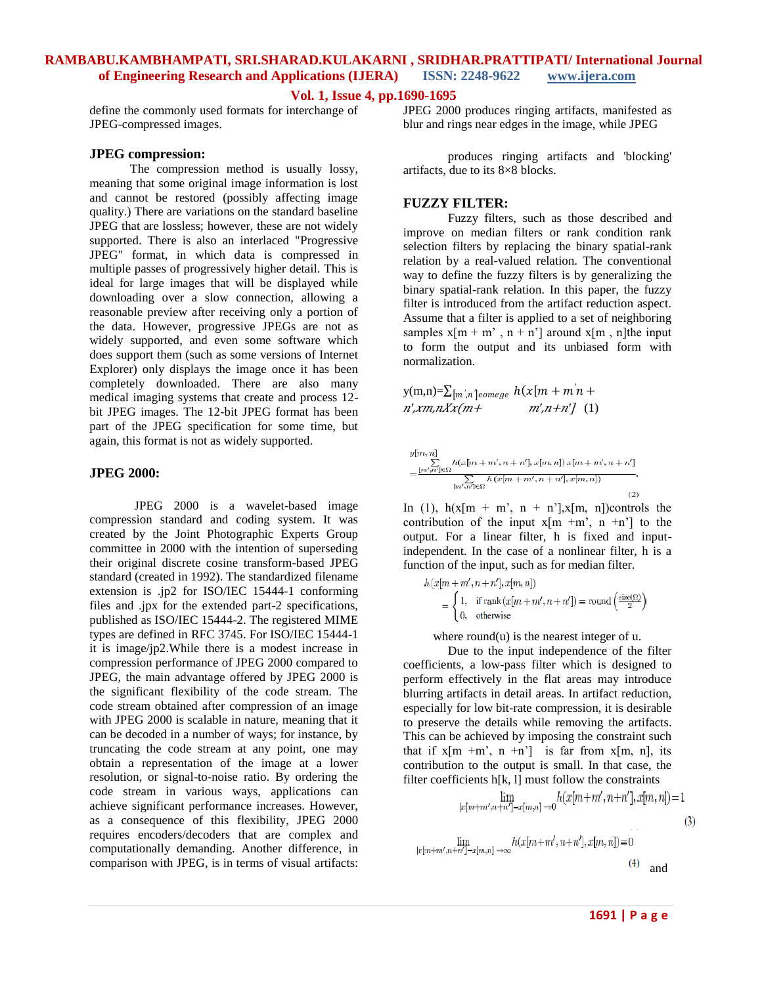#### **Vol. 1, Issue 4, pp.1690-1695**

define the commonly used formats for interchange of JPEG-compressed images.

#### **JPEG compression:**

 The compression method is usually [lossy,](http://en.wikipedia.org/wiki/Lossy_compression) meaning that some original image information is lost and cannot be restored (possibly affecting image quality.) There are [variations](http://en.wikipedia.org/wiki/Lossless_JPEG) on the standard baseline JPEG that are lossless; however, these are not widely supported. There is also an [interlaced](http://en.wikipedia.org/wiki/Interlace_%28bitmaps%29) "Progressive JPEG" format, in which data is compressed in multiple passes of progressively higher detail. This is ideal for large images that will be displayed while downloading over a slow connection, allowing a reasonable preview after receiving only a portion of the data. However, progressive JPEGs are not as widely supported, and even some software which does support them (such as some versions of Internet Explorer) only displays the image once it has been completely downloaded. There are also many medical imaging systems that create and process 12 bit JPEG images. The 12-bit JPEG format has been part of the JPEG specification for some time, but again, this format is not as widely supported.

#### **JPEG 2000:**

JPEG 2000 is a [wavelet-](http://en.wikipedia.org/wiki/Wavelet)based [image](http://en.wikipedia.org/wiki/Image_compression)  [compression](http://en.wikipedia.org/wiki/Image_compression) standard and coding system. It was created by the [Joint Photographic Experts Group](http://en.wikipedia.org/wiki/Joint_Photographic_Experts_Group) committee in 2000 with the intention of superseding their original [discrete cosine transform-](http://en.wikipedia.org/wiki/Discrete_cosine_transform)based [JPEG](http://en.wikipedia.org/wiki/JPEG) standard (created in 1992). The standardized [filename](http://en.wikipedia.org/wiki/Filename_extension)  [extension](http://en.wikipedia.org/wiki/Filename_extension) is .jp2 for [ISO/](http://en.wikipedia.org/wiki/International_Organization_for_Standardization)[IEC](http://en.wikipedia.org/wiki/International_Electrotechnical_Commission) 15444-1 conforming files and .jpx for the extended part-2 specifications, published as ISO/IEC 15444-2. The registered [MIME](http://en.wikipedia.org/wiki/Internet_media_type)  [types](http://en.wikipedia.org/wiki/Internet_media_type) are defined in [RFC 3745.](http://tools.ietf.org/html/rfc3745) For ISO/IEC 15444-1 it is image/jp2.While there is a modest increase in compression performance of JPEG 2000 compared to JPEG, the main advantage offered by JPEG 2000 is the significant flexibility of the code stream. The code stream obtained after compression of an image with JPEG 2000 is scalable in nature, meaning that it can be decoded in a number of ways; for instance, by truncating the code stream at any point, one may obtain a representation of the image at a lower resolution, or [signal-to-noise](http://en.wikipedia.org/wiki/Signal-to-noise) ratio. By ordering the code stream in various ways, applications can achieve significant performance increases. However, as a consequence of this flexibility, JPEG 2000 requires [encoders/](http://en.wikipedia.org/wiki/Encoder)[decoders](http://en.wikipedia.org/wiki/Decoder) that are complex and computationally demanding. Another difference, in comparison with JPEG, is in terms of visual [artifacts:](http://en.wikipedia.org/wiki/Compression_artifact)

JPEG 2000 produces [ringing artifacts,](http://en.wikipedia.org/wiki/Ringing_artifacts) manifested as blur and rings near edges in the image, while JPEG

produces ringing artifacts and 'blocking' artifacts, due to its [8×8 blocks.](http://en.wikipedia.org/wiki/JPEG#Block_splitting)

#### **FUZZY FILTER:**

Fuzzy filters, such as those described and improve on median filters or rank condition rank selection filters by replacing the binary spatial-rank relation by a real-valued relation. The conventional way to define the fuzzy filters is by generalizing the binary spatial-rank relation. In this paper, the fuzzy filter is introduced from the artifact reduction aspect. Assume that a filter is applied to a set of neighboring samples  $x[m + m', n + n']$  around  $x[m, n]$ the input to form the output and its unbiased form with normalization.

$$
y(m,n)=\sum [m',n]_{\text{somege}} h(x[m+m'n+n']\ n',xm,nXx(m+1m',n+n']\ (1)
$$

$$
y[m,n] = \frac{\sum_{[m',n'] \in \Omega} h(x[m+m',n+n'],x[m,n]) x[m+m',n+n']}{\sum_{[m',n'] \in \Omega} h(x[m+m',n+n'],x[m,n])}.
$$
\n(2)

In (1),  $h(x[m + m', n + n'], x[m, n])$ controls the contribution of the input  $x[m + m', n + n']$  to the output. For a linear filter, h is fixed and inputindependent. In the case of a nonlinear filter, h is a function of the input, such as for median filter.

$$
h(x[m+m',n+n'],x[m,n])
$$
  
= 
$$
\begin{cases} 1, & \text{if rank}(x[m+m',n+n']) = \text{round}\left(\frac{\text{size}(\Omega)}{2}\right) \\ 0, & \text{otherwise} \end{cases}
$$

where round(u) is the nearest integer of u.

Due to the input independence of the filter coefficients, a low-pass filter which is designed to perform effectively in the flat areas may introduce blurring artifacts in detail areas. In artifact reduction, especially for low bit-rate compression, it is desirable to preserve the details while removing the artifacts. This can be achieved by imposing the constraint such that if  $x[m + m', n + n']$  is far from  $x[m, n]$ , its contribution to the output is small. In that case, the filter coefficients  $h[k, l]$  must follow the constraints

$$
\lim_{|x[m+m',n+n']-x[m,n]\to 0} h(x[m+m',n+n'],x[m,n]) = 1
$$
\n
$$
\lim_{|x[m+m',n+n']-x[m,n]\to \infty} h(x[m+m',n+n'],x[m,n]) = 0
$$
\n(3)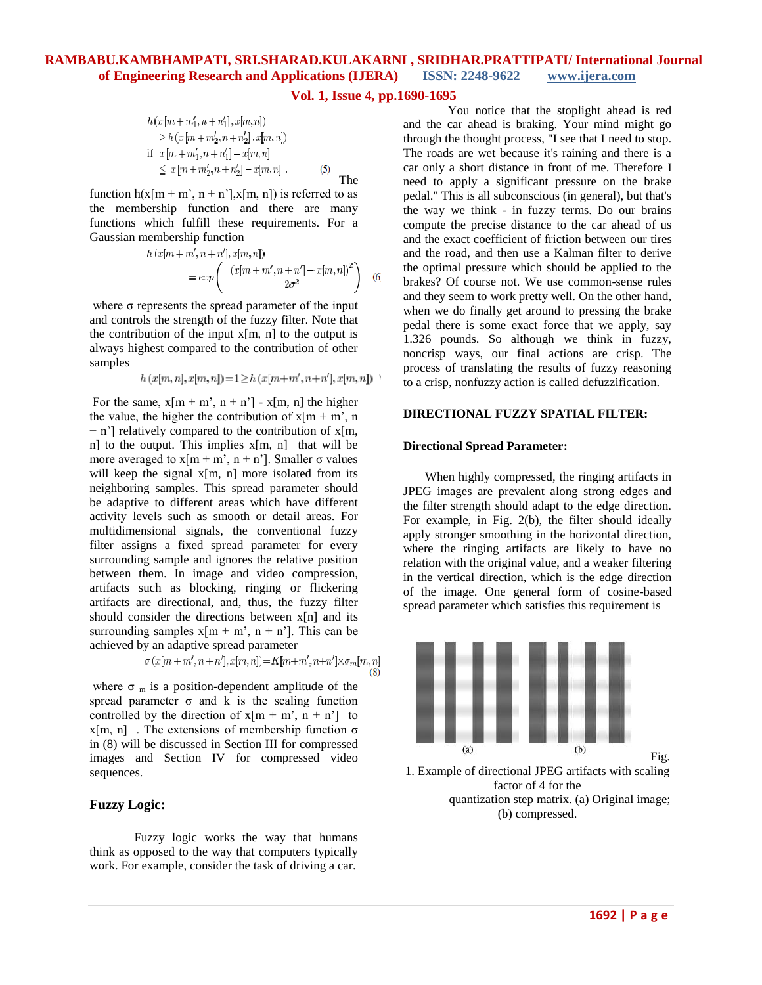**Vol. 1, Issue 4, pp.1690-1695**

$$
h(x [m + m'_1, n + n'_1], x[m, n])
$$
  
\n
$$
\geq h (x [m + m'_2, n + n'_2], x[m, n])
$$
  
\nif  $x [m + m'_1, n + n'_1] - x[m, n]|$   
\n
$$
\leq x [m + m'_2, n + n'_2] - x[m, n]|.
$$
 (5) The

function  $h(x[m + m', n + n'], x[m, n])$  is referred to as the membership function and there are many functions which fulfill these requirements. For a Gaussian membership function

$$
h(x[m+m',n+n'],x[m,n])
$$
  
=  $exp\left(-\frac{(x[m+m',n+n'] - x[m,n])^2}{2\sigma^2}\right)$  (6)

where  $\sigma$  represents the spread parameter of the input and controls the strength of the fuzzy filter. Note that the contribution of the input  $x[m, n]$  to the output is always highest compared to the contribution of other samples

 $h(x[m,n],x[m,n]) = 1 \geq h(x[m+m',n+n'],x[m,n])$ 

For the same,  $x[m + m', n + n'] - x[m, n]$  the higher the value, the higher the contribution of  $x[m + m]$ , n  $+$  n'] relatively compared to the contribution of x[m, n] to the output. This implies x[m, n] that will be more averaged to  $x[m + m', n + n']$ . Smaller  $\sigma$  values will keep the signal  $x[m, n]$  more isolated from its neighboring samples. This spread parameter should be adaptive to different areas which have different activity levels such as smooth or detail areas. For multidimensional signals, the conventional fuzzy filter assigns a fixed spread parameter for every surrounding sample and ignores the relative position between them. In image and video compression, artifacts such as blocking, ringing or flickering artifacts are directional, and, thus, the fuzzy filter should consider the directions between x[n] and its surrounding samples  $x[m + m', n + n']$ . This can be achieved by an adaptive spread parameter

$$
\sigma(x[m+m',n+n'],x[m,n]) = K[m+m',n+n'] \times \sigma_m[m,n]
$$
(8)

where  $\sigma_m$  is a position-dependent amplitude of the spread parameter  $\sigma$  and k is the scaling function controlled by the direction of  $x[m + m', n + n']$  to  $x[m, n]$ . The extensions of membership function  $\sigma$ in (8) will be discussed in Section III for compressed images and Section IV for compressed video sequences.

#### **Fuzzy Logic:**

Fuzzy logic works the way that humans think as opposed to the way that computers typically work. For example, consider the task of driving a car.

You notice that the stoplight ahead is red and the car ahead is braking. Your mind might go through the thought process, "I see that I need to stop. The roads are wet because it's raining and there is a car only a short distance in front of me. Therefore I need to apply a significant pressure on the brake pedal." This is all subconscious (in general), but that's the way we think - in fuzzy terms. Do our brains compute the precise distance to the car ahead of us and the exact coefficient of friction between our tires and the road, and then use a Kalman filter to derive the optimal pressure which should be applied to the brakes? Of course not. We use common-sense rules and they seem to work pretty well. On the other hand, when we do finally get around to pressing the brake pedal there is some exact force that we apply, say 1.326 pounds. So although we think in fuzzy, noncrisp ways, our final actions are crisp. The process of translating the results of fuzzy reasoning to a crisp, nonfuzzy action is called defuzzification.

#### **DIRECTIONAL FUZZY SPATIAL FILTER:**

#### **Directional Spread Parameter:**

 When highly compressed, the ringing artifacts in JPEG images are prevalent along strong edges and the filter strength should adapt to the edge direction. For example, in Fig. 2(b), the filter should ideally apply stronger smoothing in the horizontal direction, where the ringing artifacts are likely to have no relation with the original value, and a weaker filtering in the vertical direction, which is the edge direction of the image. One general form of cosine-based spread parameter which satisfies this requirement is



1. Example of directional JPEG artifacts with scaling factor of 4 for the quantization step matrix. (a) Original image; (b) compressed.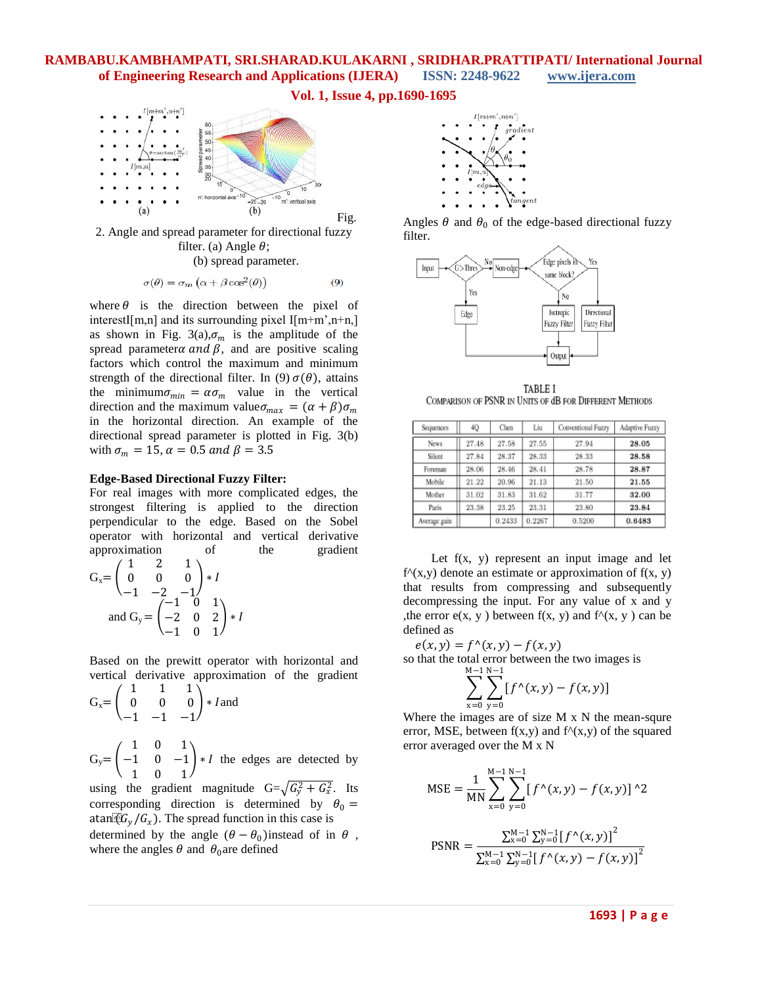**Vol. 1, Issue 4, pp.1690-1695**



2. Angle and spread parameter for directional fuzzy filter. (a) Angle  $\theta$ ;

(b) spread parameter.

$$
\sigma(\theta) = \sigma_m \left( \alpha + \beta \cos^2(\theta) \right) \tag{9}
$$

where  $\theta$  is the direction between the pixel of interestI[m,n] and its surrounding pixel  $I[m+m',n+n,]$ as shown in Fig. 3(a),  $\sigma_m$  is the amplitude of the spread parameter  $\alpha$  and  $\beta$ , and are positive scaling factors which control the maximum and minimum strength of the directional filter. In (9)  $\sigma(\theta)$ , attains the minimum  $\sigma_{min} = \alpha \sigma_m$  value in the vertical direction and the maximum value  $\sigma_{max} = (\alpha + \beta)\sigma_m$ in the horizontal direction. An example of the directional spread parameter is plotted in Fig. 3(b) with  $\sigma_m = 15$ ,  $\alpha = 0.5$  and  $\beta = 3.5$ 

#### **Edge-Based Directional Fuzzy Filter:**

For real images with more complicated edges, the strongest filtering is applied to the direction perpendicular to the edge. Based on the Sobel operator with horizontal and vertical derivative approximation of the gradient  $G = \begin{bmatrix} 0 \\ 0 \end{bmatrix}$ 1 2 1  $\Omega$ ∗

and G<sub>y</sub> = 
$$
\begin{pmatrix} 0 & 0 & 0 \\ -1 & -2 & -1 \\ -2 & 0 & 2 \\ -1 & 0 & 1 \end{pmatrix} * I
$$

Based on the prewitt operator with horizontal and vertical derivative approximation of the gradient

$$
G_x = \begin{pmatrix} 1 & 1 & 1 \\ 0 & 0 & 0 \\ -1 & -1 & -1 \end{pmatrix} * I \text{ and}
$$
  
\n
$$
G_y = \begin{pmatrix} 1 & 0 & 1 \\ -1 & 0 & -1 \\ 1 & 0 & 1 \end{pmatrix} * I \text{ the edges are detected by}
$$
  
\nusing the gradient magnitude  $G = \sqrt{G_y^2 + G_x^2}$ . Its corresponding direction is determined by  $\theta_0 =$ 

atan $\mathbb{F}(G_v / G_x)$ . The spread function in this case is determined by the angle  $(\theta - \theta_0)$  instead of in  $\theta$ , where the angles  $\theta$  and  $\theta_0$  are defined



Angles  $\theta$  and  $\theta_0$  of the edge-based directional fuzzy filter.



TABLE I COMPARISON OF PSNR IN UNITS OF dB FOR DIFFERENT METHODS

| Sequences    | 4Q    | Chen   | Liu    | Conventional Fuzzy | Adaptive Fuzzy |
|--------------|-------|--------|--------|--------------------|----------------|
| News         | 27.48 | 27.58  | 27.55  | 27.94              | 28.05          |
| Silent       | 27.84 | 28.37  | 28.33  | 28.33              | 28.58          |
| Foreman      | 28.06 | 28.46  | 28.41  | 28.78              | 28.87          |
| Mobile       | 21.22 | 20.96  | 21.13  | 21.50              | 21.55          |
| Mother       | 31.02 | 31.83  | 31.62  | 31.77              | 32.00          |
| Paris        | 23.38 | 23.25  | 23.31  | 23.80              | 23.84          |
| Average gain |       | 0.2433 | 0.2267 | 0.5200             | 0.6483         |

Let  $f(x, y)$  represent an input image and let  $f^{\wedge}(x,y)$  denote an estimate or approximation of  $f(x, y)$ that results from compressing and subsequently decompressing the input. For any value of x and y , the error  $e(x, y)$  between  $f(x, y)$  and  $f^{\wedge}(x, y)$  can be defined as

 $e(x, y) = f^{\wedge}(x, y) - f(x, y)$ 

so that the total error between the two images is

$$
\sum_{x=0}^{M-1}\sum_{y=0}^{N-1}[f^{\wedge}(x,y)-f(x,y)]
$$

Where the images are of size M x N the mean-squre error, MSE, between  $f(x,y)$  and  $f^{\wedge}(x,y)$  of the squared error averaged over the M x N

$$
\text{MSE} = \frac{1}{\text{MN}} \sum_{x=0}^{\text{M}-1} \sum_{y=0}^{\text{N}-1} \left[ f^{\wedge}(x, y) - f(x, y) \right]^{\wedge} 2
$$

$$
PSNR = \frac{\sum_{x=0}^{M-1} \sum_{y=0}^{N-1} [f^{\wedge}(x, y)]^2}{\sum_{x=0}^{M-1} \sum_{y=0}^{N-1} [f^{\wedge}(x, y) - f(x, y)]^2}
$$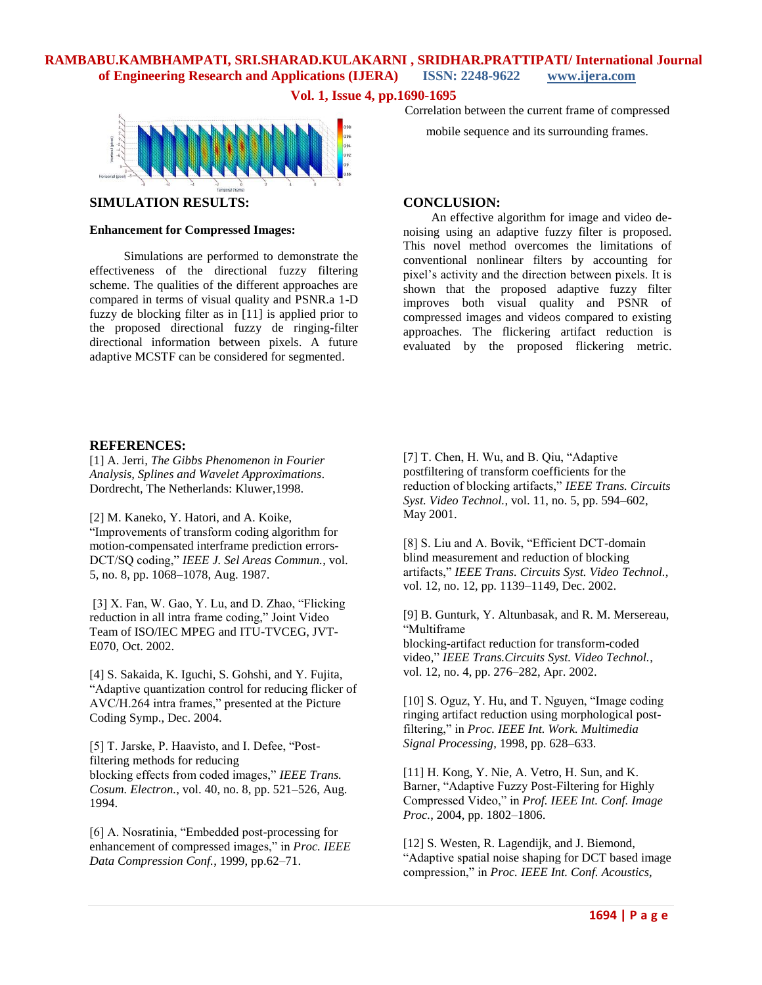**Vol. 1, Issue 4, pp.1690-1695**



#### **SIMULATION RESULTS:**

#### **Enhancement for Compressed Images:**

 Simulations are performed to demonstrate the effectiveness of the directional fuzzy filtering scheme. The qualities of the different approaches are compared in terms of visual quality and PSNR.a 1-D fuzzy de blocking filter as in [11] is applied prior to the proposed directional fuzzy de ringing-filter directional information between pixels. A future adaptive MCSTF can be considered for segmented.

#### Correlation between the current frame of compressed

mobile sequence and its surrounding frames.

#### **CONCLUSION:**

 An effective algorithm for image and video denoising using an adaptive fuzzy filter is proposed. This novel method overcomes the limitations of conventional nonlinear filters by accounting for pixel's activity and the direction between pixels. It is shown that the proposed adaptive fuzzy filter improves both visual quality and PSNR of compressed images and videos compared to existing approaches. The flickering artifact reduction is evaluated by the proposed flickering metric.

#### **REFERENCES:**

[1] A. Jerri*, The Gibbs Phenomenon in Fourier Analysis, Splines and Wavelet Approximations*. Dordrecht, The Netherlands: Kluwer,1998.

[2] M. Kaneko, Y. Hatori, and A. Koike, "Improvements of transform coding algorithm for motion-compensated interframe prediction errors-DCT/SQ coding," *IEEE J. Sel Areas Commun.*, vol. 5, no. 8, pp. 1068–1078, Aug. 1987.

[3] X. Fan, W. Gao, Y. Lu, and D. Zhao, "Flicking reduction in all intra frame coding," Joint Video Team of ISO/IEC MPEG and ITU-TVCEG, JVT-E070, Oct. 2002.

[4] S. Sakaida, K. Iguchi, S. Gohshi, and Y. Fujita, "Adaptive quantization control for reducing flicker of AVC/H.264 intra frames," presented at the Picture Coding Symp., Dec. 2004.

[5] T. Jarske, P. Haavisto, and I. Defee, "Postfiltering methods for reducing blocking effects from coded images," *IEEE Trans. Cosum. Electron.*, vol. 40, no. 8, pp. 521–526, Aug. 1994.

[6] A. Nosratinia, "Embedded post-processing for enhancement of compressed images," in *Proc. IEEE Data Compression Conf.*, 1999, pp.62–71.

[7] T. Chen, H. Wu, and B. Qiu, "Adaptive postfiltering of transform coefficients for the reduction of blocking artifacts," *IEEE Trans. Circuits Syst. Video Technol.*, vol. 11, no. 5, pp. 594–602, May 2001.

[8] S. Liu and A. Bovik, "Efficient DCT-domain blind measurement and reduction of blocking artifacts," *IEEE Trans. Circuits Syst. Video Technol.*, vol. 12, no. 12, pp. 1139–1149, Dec. 2002.

[9] B. Gunturk, Y. Altunbasak, and R. M. Mersereau, "Multiframe blocking-artifact reduction for transform-coded video," *IEEE Trans.Circuits Syst. Video Technol.*, vol. 12, no. 4, pp. 276–282, Apr. 2002.

[10] S. Oguz, Y. Hu, and T. Nguyen, "Image coding ringing artifact reduction using morphological postfiltering," in *Proc. IEEE Int. Work. Multimedia Signal Processing*, 1998, pp. 628–633.

[11] H. Kong, Y. Nie, A. Vetro, H. Sun, and K. Barner, "Adaptive Fuzzy Post-Filtering for Highly Compressed Video," in *Prof. IEEE Int. Conf. Image Proc.*, 2004, pp. 1802–1806.

[12] S. Westen, R. Lagendijk, and J. Biemond, "Adaptive spatial noise shaping for DCT based image compression," in *Proc. IEEE Int. Conf. Acoustics,*